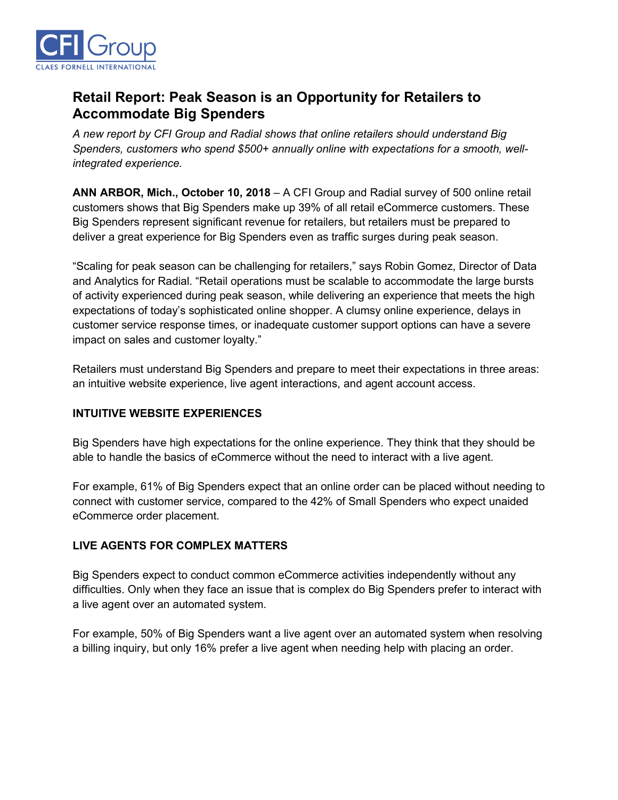

# **Retail Report: Peak Season is an Opportunity for Retailers to Accommodate Big Spenders**

*A new report by CFI Group and Radial shows that online retailers should understand Big Spenders, customers who spend \$500+ annually online with expectations for a smooth, wellintegrated experience.* 

**ANN ARBOR, Mich., October 10, 2018** – A CFI Group and Radial survey of 500 online retail customers shows that Big Spenders make up 39% of all retail eCommerce customers. These Big Spenders represent significant revenue for retailers, but retailers must be prepared to deliver a great experience for Big Spenders even as traffic surges during peak season.

"Scaling for peak season can be challenging for retailers," says Robin Gomez, Director of Data and Analytics for Radial. "Retail operations must be scalable to accommodate the large bursts of activity experienced during peak season, while delivering an experience that meets the high expectations of today's sophisticated online shopper. A clumsy online experience, delays in customer service response times, or inadequate customer support options can have a severe impact on sales and customer loyalty."

Retailers must understand Big Spenders and prepare to meet their expectations in three areas: an intuitive website experience, live agent interactions, and agent account access.

## **INTUITIVE WEBSITE EXPERIENCES**

Big Spenders have high expectations for the online experience. They think that they should be able to handle the basics of eCommerce without the need to interact with a live agent.

For example, 61% of Big Spenders expect that an online order can be placed without needing to connect with customer service, compared to the 42% of Small Spenders who expect unaided eCommerce order placement.

## **LIVE AGENTS FOR COMPLEX MATTERS**

Big Spenders expect to conduct common eCommerce activities independently without any difficulties. Only when they face an issue that is complex do Big Spenders prefer to interact with a live agent over an automated system.

For example, 50% of Big Spenders want a live agent over an automated system when resolving a billing inquiry, but only 16% prefer a live agent when needing help with placing an order.